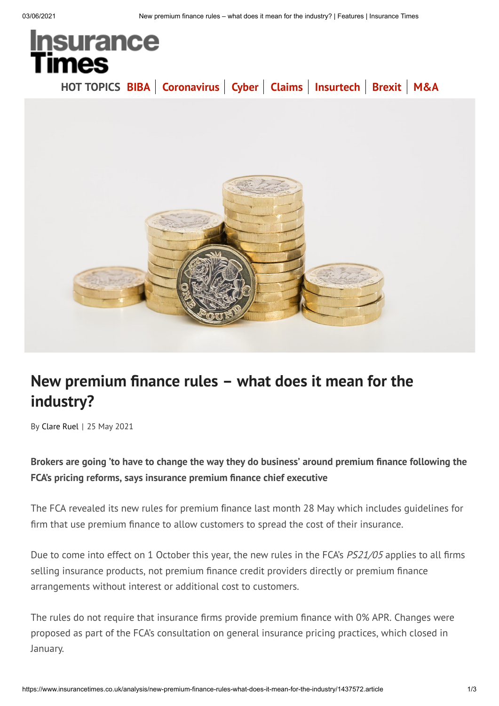

## **New premium nance rules – what does it mean for the industry?**

By Clare Ruel | 25 May 2021

**Brokers are going 'to have to change the way they do business' around premium nance following the FCA's pricing reforms, says insurance premium nance chief executive**

The FCA revealed its new rules for premium finance last month 28 May which includes guidelines for firm that use premium finance to allow customers to spread the cost of their insurance.

Due to come into effect on 1 October this year, the new rules in the FCA's *PS21/05* applies to all firms selling insurance products, not premium finance credit providers directly or premium finance arrangements without interest or additional cost to customers.

The rules do not require that insurance firms provide premium finance with 0% APR. Changes were proposed as part of the FCA's consultation on general insurance pricing practices, which closed in January.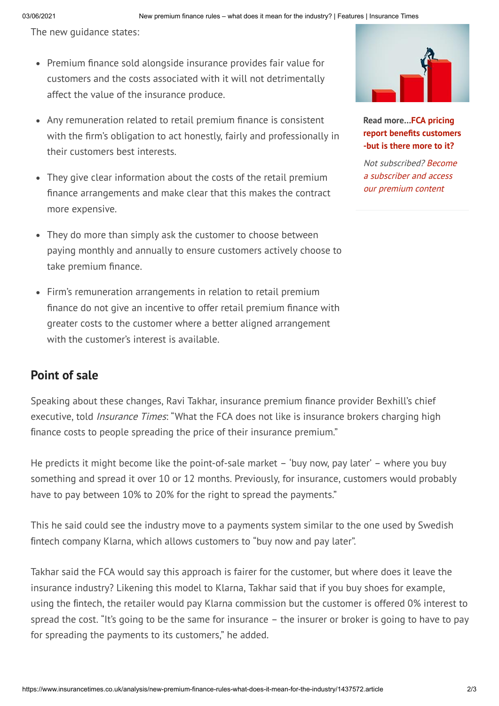The new guidance states:

- Premium finance sold alongside insurance provides fair value for customers and the costs associated with it will not detrimentally affect the value of the insurance produce.
- Any remuneration related to retail premium finance is consistent with the firm's obligation to act honestly, fairly and professionally in their customers best interests.
- They give clear information about the costs of the retail premium nance arrangements and make clear that this makes the contract more expensive.
- They do more than simply ask the customer to choose between paying monthly and annually to ensure customers actively choose to take premium finance.
- Firm's remuneration arrangements in relation to retail premium finance do not give an incentive to offer retail premium finance with greater costs to the customer where a better aligned arrangement with the customer's interest is available.

## **Point of sale**

Speaking about these changes, Ravi Takhar, insurance premium finance provider Bexhill's chief executive, told *Insurance Times*: "What the FCA does not like is insurance brokers charging high finance costs to people spreading the price of their insurance premium."

He predicts it might become like the point-of-sale market – 'buy now, pay later' – where you buy something and spread it over 10 or 12 months. Previously, for insurance, customers would probably have to pay between 10% to 20% for the right to spread the payments."

This he said could see the industry move to a payments system similar to the one used by Swedish fintech company Klarna, which allows customers to "buy now and pay later".

Takhar said the FCA would say this approach is fairer for the customer, but where does it leave the insurance industry? Likening this model to Klarna, Takhar said that if you buy shoes for example, using the fintech, the retailer would pay Klarna commission but the customer is offered 0% interest to spread the cost. "It's going to be the same for insurance – the insurer or broker is going to have to pay for spreading the payments to its customers," he added.



**Read more…FCA pricing report benets customers -but is there more to it?**

Not subscribed? Become a subscriber and access our premium content